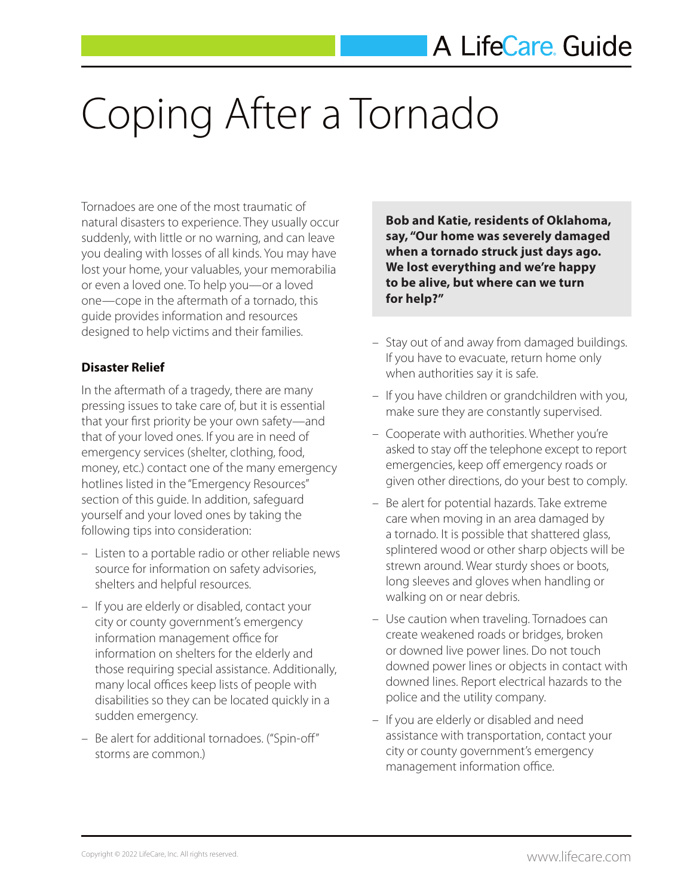# Coping After a Tornado

Tornadoes are one of the most traumatic of natural disasters to experience. They usually occur suddenly, with little or no warning, and can leave you dealing with losses of all kinds. You may have lost your home, your valuables, your memorabilia or even a loved one. To help you—or a loved one—cope in the aftermath of a tornado, this guide provides information and resources designed to help victims and their families.

# **Disaster Relief**

In the aftermath of a tragedy, there are many pressing issues to take care of, but it is essential that your first priority be your own safety—and that of your loved ones. If you are in need of emergency services (shelter, clothing, food, money, etc.) contact one of the many emergency hotlines listed in the "Emergency Resources" section of this guide. In addition, safeguard yourself and your loved ones by taking the following tips into consideration:

- Listen to a portable radio or other reliable news source for information on safety advisories, shelters and helpful resources.
- If you are elderly or disabled, contact your city or county government's emergency information management office for information on shelters for the elderly and those requiring special assistance. Additionally, many local offices keep lists of people with disabilities so they can be located quickly in a sudden emergency.
- Be alert for additional tornadoes. ("Spin-off" storms are common.)

**Bob and Katie, residents of Oklahoma, say, "Our home was severely damaged when a tornado struck just days ago. We lost everything and we're happy to be alive, but where can we turn for help?"**

- Stay out of and away from damaged buildings. If you have to evacuate, return home only when authorities say it is safe.
- If you have children or grandchildren with you, make sure they are constantly supervised.
- Cooperate with authorities. Whether you're asked to stay off the telephone except to report emergencies, keep off emergency roads or given other directions, do your best to comply.
- Be alert for potential hazards. Take extreme care when moving in an area damaged by a tornado. It is possible that shattered glass, splintered wood or other sharp objects will be strewn around. Wear sturdy shoes or boots, long sleeves and gloves when handling or walking on or near debris.
- Use caution when traveling. Tornadoes can create weakened roads or bridges, broken or downed live power lines. Do not touch downed power lines or objects in contact with downed lines. Report electrical hazards to the police and the utility company.
- If you are elderly or disabled and need assistance with transportation, contact your city or county government's emergency management information office.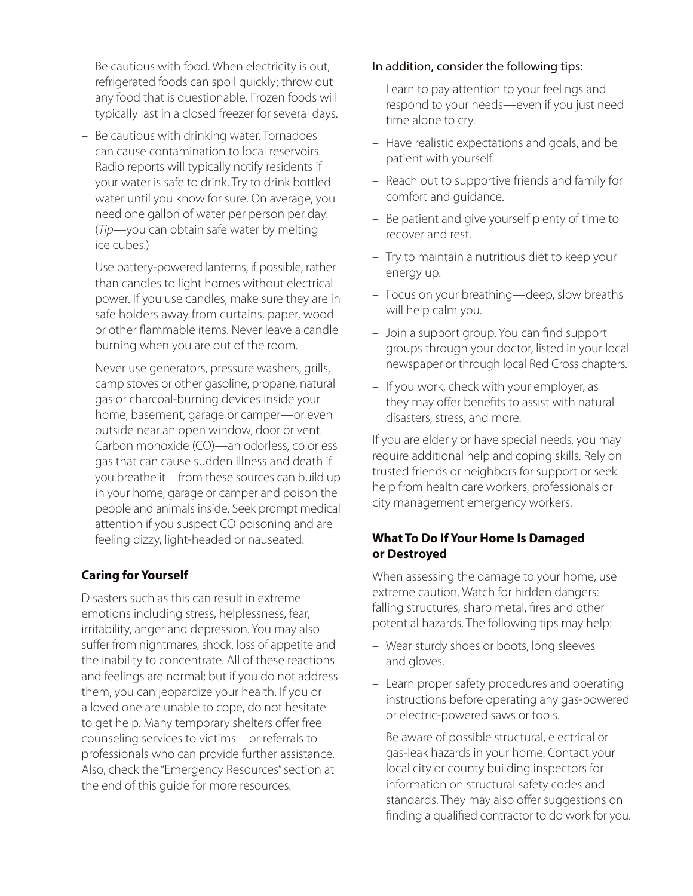- Be cautious with food. When electricity is out, refrigerated foods can spoil quickly; throw out any food that is questionable. Frozen foods will typically last in a closed freezer for several days.
- Be cautious with drinking water. Tornadoes can cause contamination to local reservoirs. Radio reports will typically notify residents if your water is safe to drink. Try to drink bottled water until you know for sure. On average, you need one gallon of water per person per day. (*Tip*—you can obtain safe water by melting ice cubes.)
- Use battery-powered lanterns, if possible, rather than candles to light homes without electrical power. If you use candles, make sure they are in safe holders away from curtains, paper, wood or other flammable items. Never leave a candle burning when you are out of the room.
- Never use generators, pressure washers, grills, camp stoves or other gasoline, propane, natural gas or charcoal-burning devices inside your home, basement, garage or camper—or even outside near an open window, door or vent. Carbon monoxide (CO)—an odorless, colorless gas that can cause sudden illness and death if you breathe it—from these sources can build up in your home, garage or camper and poison the people and animals inside. Seek prompt medical attention if you suspect CO poisoning and are feeling dizzy, light-headed or nauseated.

# **Caring for Yourself**

Disasters such as this can result in extreme emotions including stress, helplessness, fear, irritability, anger and depression. You may also suffer from nightmares, shock, loss of appetite and the inability to concentrate. All of these reactions and feelings are normal; but if you do not address them, you can jeopardize your health. If you or a loved one are unable to cope, do not hesitate to get help. Many temporary shelters offer free counseling services to victims—or referrals to professionals who can provide further assistance. Also, check the "Emergency Resources" section at the end of this guide for more resources.

#### In addition, consider the following tips:

- Learn to pay attention to your feelings and respond to your needs—even if you just need time alone to cry.
- Have realistic expectations and goals, and be patient with yourself.
- Reach out to supportive friends and family for comfort and guidance.
- Be patient and give yourself plenty of time to recover and rest.
- Try to maintain a nutritious diet to keep your energy up.
- Focus on your breathing—deep, slow breaths will help calm you.
- Join a support group. You can find support groups through your doctor, listed in your local newspaper or through local Red Cross chapters.
- If you work, check with your employer, as they may offer benefits to assist with natural disasters, stress, and more.

If you are elderly or have special needs, you may require additional help and coping skills. Rely on trusted friends or neighbors for support or seek help from health care workers, professionals or city management emergency workers.

#### **What To Do If Your Home Is Damaged or Destroyed**

When assessing the damage to your home, use extreme caution. Watch for hidden dangers: falling structures, sharp metal, fires and other potential hazards. The following tips may help:

- Wear sturdy shoes or boots, long sleeves and gloves.
- Learn proper safety procedures and operating instructions before operating any gas-powered or electric-powered saws or tools.
- Be aware of possible structural, electrical or gas-leak hazards in your home. Contact your local city or county building inspectors for information on structural safety codes and standards. They may also offer suggestions on finding a qualified contractor to do work for you.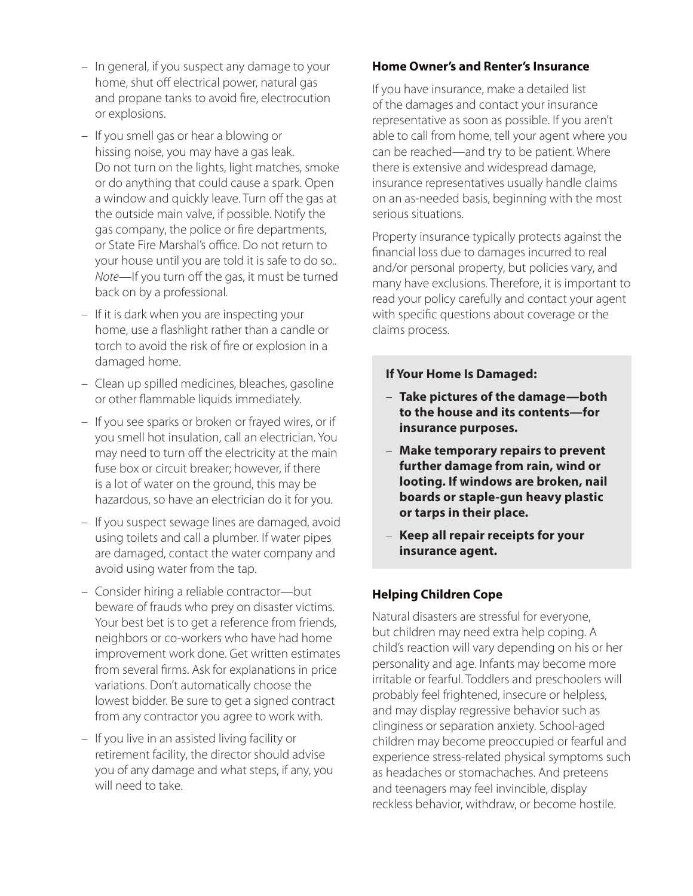- In general, if you suspect any damage to your home, shut off electrical power, natural gas and propane tanks to avoid fire, electrocution or explosions.
- If you smell gas or hear a blowing or hissing noise, you may have a gas leak. Do not turn on the lights, light matches, smoke or do anything that could cause a spark. Open a window and quickly leave. Turn off the gas at the outside main valve, if possible. Notify the gas company, the police or fire departments, or State Fire Marshal's office. Do not return to your house until you are told it is safe to do so.. *Note*—If you turn off the gas, it must be turned back on by a professional.
- If it is dark when you are inspecting your home, use a flashlight rather than a candle or torch to avoid the risk of fire or explosion in a damaged home.
- Clean up spilled medicines, bleaches, gasoline or other flammable liquids immediately.
- If you see sparks or broken or frayed wires, or if you smell hot insulation, call an electrician. You may need to turn off the electricity at the main fuse box or circuit breaker; however, if there is a lot of water on the ground, this may be hazardous, so have an electrician do it for you.
- If you suspect sewage lines are damaged, avoid using toilets and call a plumber. If water pipes are damaged, contact the water company and avoid using water from the tap.
- Consider hiring a reliable contractor—but beware of frauds who prey on disaster victims. Your best bet is to get a reference from friends, neighbors or co-workers who have had home improvement work done. Get written estimates from several firms. Ask for explanations in price variations. Don't automatically choose the lowest bidder. Be sure to get a signed contract from any contractor you agree to work with.
- If you live in an assisted living facility or retirement facility, the director should advise you of any damage and what steps, if any, you will need to take.

#### **Home Owner's and Renter's Insurance**

If you have insurance, make a detailed list of the damages and contact your insurance representative as soon as possible. If you aren't able to call from home, tell your agent where you can be reached—and try to be patient. Where there is extensive and widespread damage, insurance representatives usually handle claims on an as-needed basis, beginning with the most serious situations.

Property insurance typically protects against the financial loss due to damages incurred to real and/or personal property, but policies vary, and many have exclusions. Therefore, it is important to read your policy carefully and contact your agent with specific questions about coverage or the claims process.

#### **If Your Home Is Damaged:**

- **Take pictures of the damage—both to the house and its contents—for insurance purposes.**
- **Make temporary repairs to prevent further damage from rain, wind or looting. If windows are broken, nail boards or staple-gun heavy plastic or tarps in their place.**
- **Keep all repair receipts for your insurance agent.**

#### **Helping Children Cope**

Natural disasters are stressful for everyone, but children may need extra help coping. A child's reaction will vary depending on his or her personality and age. Infants may become more irritable or fearful. Toddlers and preschoolers will probably feel frightened, insecure or helpless, and may display regressive behavior such as clinginess or separation anxiety. School-aged children may become preoccupied or fearful and experience stress-related physical symptoms such as headaches or stomachaches. And preteens and teenagers may feel invincible, display reckless behavior, withdraw, or become hostile.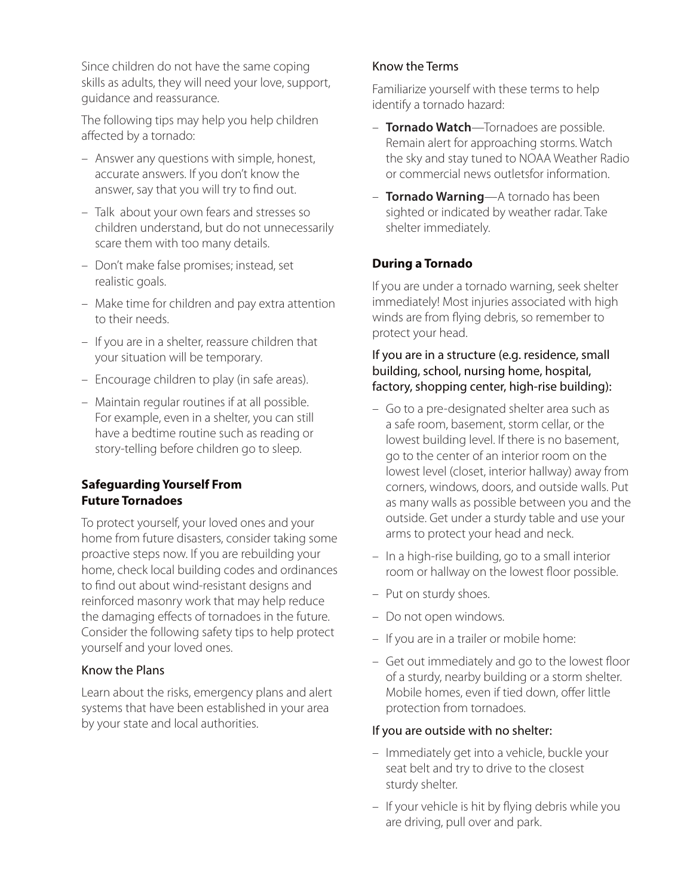Since children do not have the same coping skills as adults, they will need your love, support, guidance and reassurance.

The following tips may help you help children affected by a tornado:

- Answer any questions with simple, honest, accurate answers. If you don't know the answer, say that you will try to find out.
- Talk about your own fears and stresses so children understand, but do not unnecessarily scare them with too many details.
- Don't make false promises; instead, set realistic goals.
- Make time for children and pay extra attention to their needs.
- If you are in a shelter, reassure children that your situation will be temporary.
- Encourage children to play (in safe areas).
- Maintain regular routines if at all possible. For example, even in a shelter, you can still have a bedtime routine such as reading or story-telling before children go to sleep.

# **Safeguarding Yourself From Future Tornadoes**

To protect yourself, your loved ones and your home from future disasters, consider taking some proactive steps now. If you are rebuilding your home, check local building codes and ordinances to find out about wind-resistant designs and reinforced masonry work that may help reduce the damaging effects of tornadoes in the future. Consider the following safety tips to help protect yourself and your loved ones.

# Know the Plans

Learn about the risks, emergency plans and alert systems that have been established in your area by your state and local authorities.

# Know the Terms

Familiarize yourself with these terms to help identify a tornado hazard:

- **Tornado Watch**—Tornadoes are possible. Remain alert for approaching storms. Watch the sky and stay tuned to NOAA Weather Radio or commercial news outletsfor information.
- **Tornado Warning**—A tornado has been sighted or indicated by weather radar. Take shelter immediately.

# **During a Tornado**

If you are under a tornado warning, seek shelter immediately! Most injuries associated with high winds are from flying debris, so remember to protect your head.

# If you are in a structure (e.g. residence, small building, school, nursing home, hospital, factory, shopping center, high-rise building):

- Go to a pre-designated shelter area such as a safe room, basement, storm cellar, or the lowest building level. If there is no basement, go to the center of an interior room on the lowest level (closet, interior hallway) away from corners, windows, doors, and outside walls. Put as many walls as possible between you and the outside. Get under a sturdy table and use your arms to protect your head and neck.
- In a high-rise building, go to a small interior room or hallway on the lowest floor possible.
- Put on sturdy shoes.
- Do not open windows.
- If you are in a trailer or mobile home:
- Get out immediately and go to the lowest floor of a sturdy, nearby building or a storm shelter. Mobile homes, even if tied down, offer little protection from tornadoes.

# If you are outside with no shelter:

- Immediately get into a vehicle, buckle your seat belt and try to drive to the closest sturdy shelter.
- If your vehicle is hit by flying debris while you are driving, pull over and park.